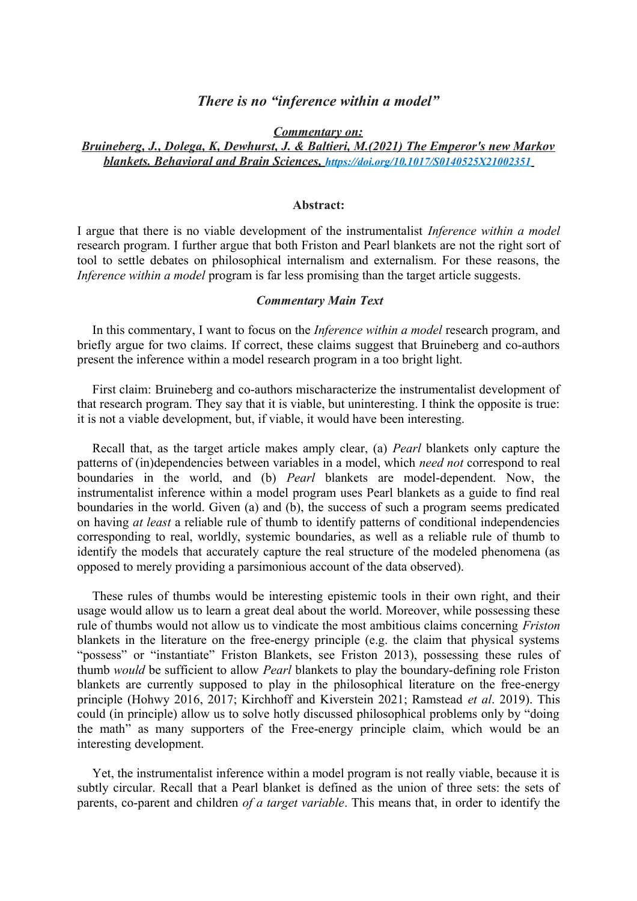# *There is no "inference within a model"*

*Commentary on:*

## *Bruineberg, J., Dolega, K, Dewhurst, J. & Baltieri, M.(2021) The Emperor's new Markov blankets. Behavioral and Brain Sciences, <https://doi.org/10.1017/S0140525X21002351>*

#### **Abstract:**

I argue that there is no viable development of the instrumentalist *Inference within a model* research program. I further argue that both Friston and Pearl blankets are not the right sort of tool to settle debates on philosophical internalism and externalism. For these reasons, the *Inference within a model* program is far less promising than the target article suggests.

## *Commentary Main Text*

In this commentary, I want to focus on the *Inference within a model* research program, and briefly argue for two claims. If correct, these claims suggest that Bruineberg and co-authors present the inference within a model research program in a too bright light.

First claim: Bruineberg and co-authors mischaracterize the instrumentalist development of that research program. They say that it is viable, but uninteresting. I think the opposite is true: it is not a viable development, but, if viable, it would have been interesting.

Recall that, as the target article makes amply clear, (a) *Pearl* blankets only capture the patterns of (in)dependencies between variables in a model, which *need not* correspond to real boundaries in the world, and (b) *Pearl* blankets are model-dependent. Now, the instrumentalist inference within a model program uses Pearl blankets as a guide to find real boundaries in the world. Given (a) and (b), the success of such a program seems predicated on having *at least* a reliable rule of thumb to identify patterns of conditional independencies corresponding to real, worldly, systemic boundaries, as well as a reliable rule of thumb to identify the models that accurately capture the real structure of the modeled phenomena (as opposed to merely providing a parsimonious account of the data observed).

These rules of thumbs would be interesting epistemic tools in their own right, and their usage would allow us to learn a great deal about the world. Moreover, while possessing these rule of thumbs would not allow us to vindicate the most ambitious claims concerning *Friston* blankets in the literature on the free-energy principle (e.g. the claim that physical systems "possess" or "instantiate" Friston Blankets, see Friston 2013), possessing these rules of thumb *would* be sufficient to allow *Pearl* blankets to play the boundary-defining role Friston blankets are currently supposed to play in the philosophical literature on the free-energy principle (Hohwy 2016, 2017; Kirchhoff and Kiverstein 2021; Ramstead *et al*. 2019). This could (in principle) allow us to solve hotly discussed philosophical problems only by "doing the math" as many supporters of the Free-energy principle claim, which would be an interesting development.

Yet, the instrumentalist inference within a model program is not really viable, because it is subtly circular. Recall that a Pearl blanket is defined as the union of three sets: the sets of parents, co-parent and children *of a target variable*. This means that, in order to identify the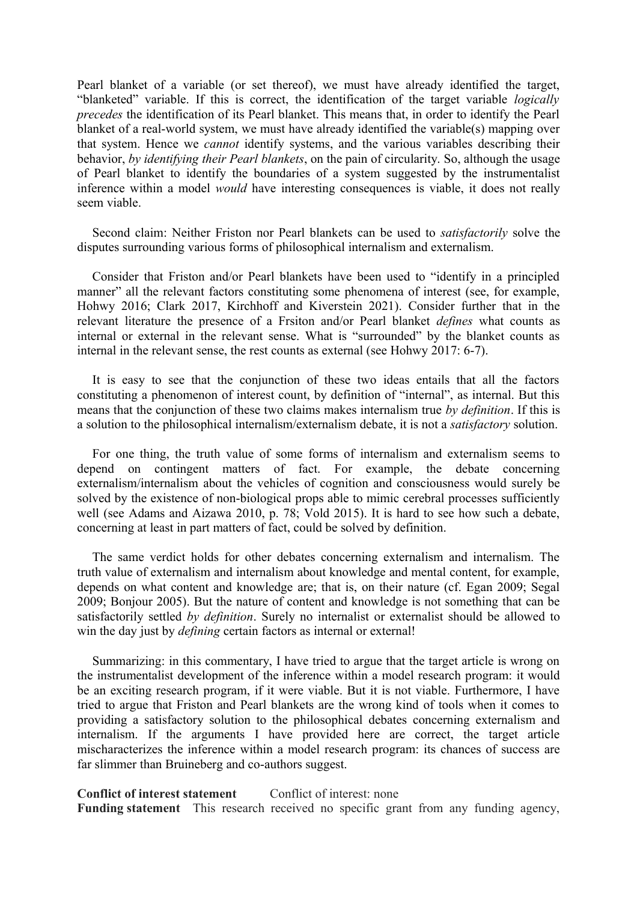Pearl blanket of a variable (or set thereof), we must have already identified the target, "blanketed" variable. If this is correct, the identification of the target variable *logically precedes* the identification of its Pearl blanket. This means that, in order to identify the Pearl blanket of a real-world system, we must have already identified the variable(s) mapping over that system. Hence we *cannot* identify systems, and the various variables describing their behavior, *by identifying their Pearl blankets*, on the pain of circularity. So, although the usage of Pearl blanket to identify the boundaries of a system suggested by the instrumentalist inference within a model *would* have interesting consequences is viable, it does not really seem viable.

Second claim: Neither Friston nor Pearl blankets can be used to *satisfactorily* solve the disputes surrounding various forms of philosophical internalism and externalism.

Consider that Friston and/or Pearl blankets have been used to "identify in a principled manner" all the relevant factors constituting some phenomena of interest (see, for example, Hohwy 2016; Clark 2017, Kirchhoff and Kiverstein 2021). Consider further that in the relevant literature the presence of a Frsiton and/or Pearl blanket *defines* what counts as internal or external in the relevant sense. What is "surrounded" by the blanket counts as internal in the relevant sense, the rest counts as external (see Hohwy 2017: 6-7).

It is easy to see that the conjunction of these two ideas entails that all the factors constituting a phenomenon of interest count, by definition of "internal", as internal. But this means that the conjunction of these two claims makes internalism true *by definition*. If this is a solution to the philosophical internalism/externalism debate, it is not a *satisfactory* solution.

For one thing, the truth value of some forms of internalism and externalism seems to depend on contingent matters of fact. For example, the debate concerning externalism/internalism about the vehicles of cognition and consciousness would surely be solved by the existence of non-biological props able to mimic cerebral processes sufficiently well (see Adams and Aizawa 2010, p. 78; Vold 2015). It is hard to see how such a debate, concerning at least in part matters of fact, could be solved by definition.

The same verdict holds for other debates concerning externalism and internalism. The truth value of externalism and internalism about knowledge and mental content, for example, depends on what content and knowledge are; that is, on their nature (cf. Egan 2009; Segal 2009; Bonjour 2005). But the nature of content and knowledge is not something that can be satisfactorily settled *by definition*. Surely no internalist or externalist should be allowed to win the day just by *defining* certain factors as internal or external!

Summarizing: in this commentary, I have tried to argue that the target article is wrong on the instrumentalist development of the inference within a model research program: it would be an exciting research program, if it were viable. But it is not viable. Furthermore, I have tried to argue that Friston and Pearl blankets are the wrong kind of tools when it comes to providing a satisfactory solution to the philosophical debates concerning externalism and internalism. If the arguments I have provided here are correct, the target article mischaracterizes the inference within a model research program: its chances of success are far slimmer than Bruineberg and co-authors suggest.

#### **Conflict of interest statement** Conflict of interest: none

**Funding statement** This research received no specific grant from any funding agency,